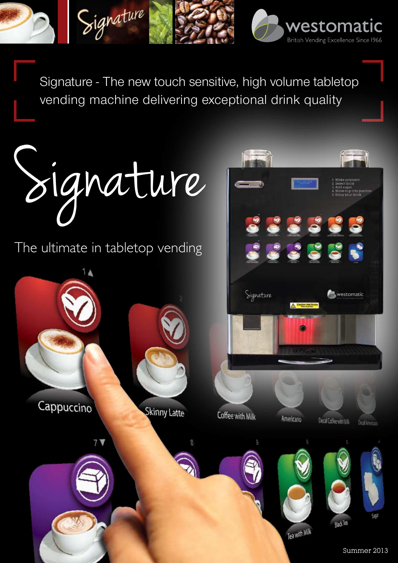Signature - The new touch sensitive, high volume tabletop vending machine delivering exceptional drink quality

westomatic

British Vending Excellence Since 1966

Signature

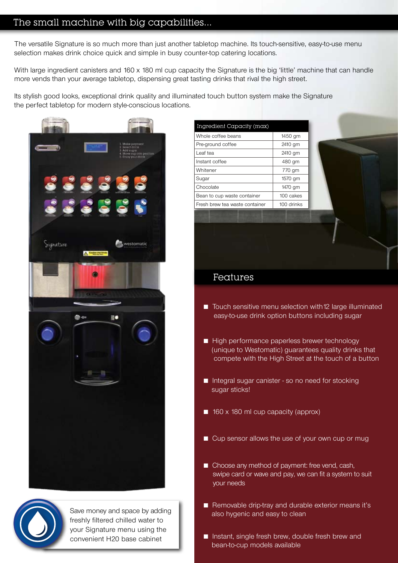# The small machine with big capabilities...

The versatile Signature is so much more than just another tabletop machine. Its touch-sensitive, easy-to-use menu selection makes drink choice quick and simple in busy counter-top catering locations.

With large ingredient canisters and 160 x 180 ml cup capacity the Signature is the big 'little' machine that can handle more vends than your average tabletop, dispensing great tasting drinks that rival the high street.

Its stylish good looks, exceptional drink quality and illuminated touch button system make the Signature the perfect tabletop for modern style-conscious locations.



| Ingredient Capacity (max)      |            |
|--------------------------------|------------|
| Whole coffee beans             | 1450 gm    |
| Pre-ground coffee              | 2410 gm    |
| I eaf tea                      | 2410 gm    |
| Instant coffee                 | 480 gm     |
| Whitener                       | 770 gm     |
| Sugar                          | 1570 gm    |
| Chocolate                      | 1470 gm    |
| Bean to cup waste container    | 100 cakes  |
| Fresh brew tea waste container | 100 drinks |

### Features

- $\blacksquare$  Touch sensitive menu selection with 12 large illuminated easy-to-use drink option buttons including sugar
- High performance paperless brewer technology (unique to Westomatic) guarantees quality drinks that compete with the High Street at the touch of a button
- $\blacksquare$  Integral sugar canister so no need for stocking sugar sticks!
- $\Box$  160 x 180 ml cup capacity (approx)
- Cup sensor allows the use of your own cup or mug
- Choose any method of payment: free vend, cash, swipe card or wave and pay, we can fit a system to suit your needs
- Removable drip-tray and durable exterior means it's also hygenic and easy to clean
- Instant, single fresh brew, double fresh brew and bean-to-cup models available



Save money and space by adding freshly filtered chilled water to your Signature menu using the convenient H20 base cabinet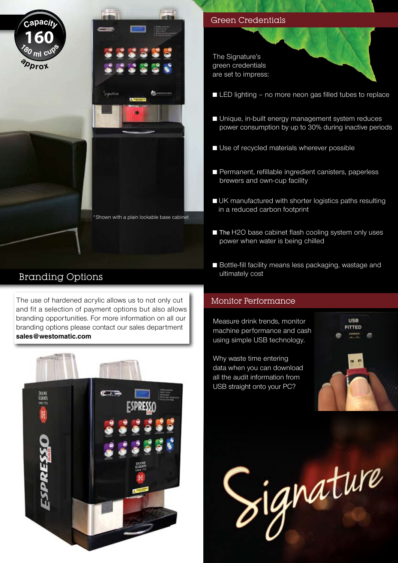



# Branding Options

The use of hardened acrylic allows us to not only cut Monitor Performance and fit a selection of payment options but also allows branding opportunities. For more information on all our branding options please contact our sales department **sales@westomatic.com**



The Signature's green credentials are set to impress:

- $\blacksquare$  LED lighting no more neon gas filled tubes to replace
- Unique, in-built energy management system reduces power consumption by up to 30% during inactive periods
- Use of recycled materials wherever possible
- Permanent, refillable ingredient canisters, paperless brewers and own-cup facility
- UK manufactured with shorter logistics paths resulting in a reduced carbon footprint
- $\blacksquare$  The H2O base cabinet flash cooling system only uses power when water is being chilled
- Bottle-fill facility means less packaging, wastage and ultimately cost

Measure drink trends, monitor machine performance and cash using simple USB technology.

Why waste time entering data when you can download all the audit information from USB straight onto your PC?



Signature